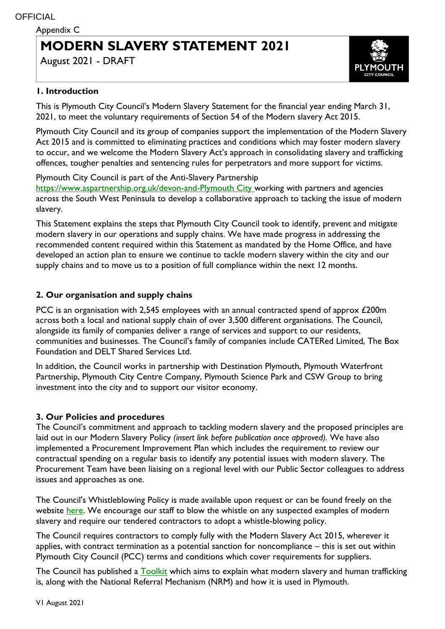#### Appendix C

# **MODERN SLAVERY STATEMENT 2021**

August 2021 - DRAFT



## **1. Introduction**

This is Plymouth City Council's Modern Slavery Statement for the financial year ending March 31, 2021, to meet the voluntary requirements of Section 54 of the Modern slavery Act 2015.

Plymouth City Council and its group of companies support the implementation of the Modern Slavery Act 2015 and is committed to eliminating practices and conditions which may foster modern slavery to occur, and we welcome the Modern Slavery Act's approach in consolidating slavery and trafficking offences, tougher penalties and sentencing rules for perpetrators and more support for victims.

#### Plymouth City Council is part of the Anti-Slavery Partnership

[https://www.aspartnership.org.uk/devon-and-Plymouth City](https://www.aspartnership.org.uk/devon-and-cornwall) [w](https://www.aspartnership.org.uk/devon-and-cornwall)orking with partners and agencies across the South West Peninsula to develop a collaborative approach to tacking the issue of modern slavery.

This Statement explains the steps that Plymouth City Council took to identify, prevent and mitigate modern slavery in our operations and supply chains. We have made progress in addressing the recommended content required within this Statement as mandated by the Home Office, and have developed an action plan to ensure we continue to tackle modern slavery within the city and our supply chains and to move us to a position of full compliance within the next 12 months.

## **2. Our organisation and supply chains**

PCC is an organisation with 2,545 employees with an annual contracted spend of approx  $\pounds 200$ m across both a local and national supply chain of over 3,500 different organisations. The Council, alongside its family of companies deliver a range of services and support to our residents, communities and businesses. The Council's family of companies include CATERed Limited, The Box Foundation and DELT Shared Services Ltd.

In addition, the Council works in partnership with Destination Plymouth, Plymouth Waterfront Partnership, Plymouth City Centre Company, Plymouth Science Park and CSW Group to bring investment into the city and to support our visitor economy.

## **3. Our Policies and procedures**

The Council's commitment and approach to tackling modern slavery and the proposed principles are laid out in our Modern Slavery Policy *(insert link before publication once approved).* We have also implemented a Procurement Improvement Plan which includes the requirement to review our contractual spending on a regular basis to identify any potential issues with modern slavery. The Procurement Team have been liaising on a regional level with our Public Sector colleagues to address issues and approaches as one.

The Council's Whistleblowing Policy is made available upon request or can be found freely on the website [here.](https://www.plymouth.gov.uk/aboutcouncil/doingbusinesscouncil/modernslavery) We encourage our staff to blow the whistle on any suspected examples of modern slavery and require our tendered contractors to adopt a whistle-blowing policy.

The Council requires contractors to comply fully with the Modern Slavery Act 2015, wherever it applies, with contract termination as a potential sanction for noncompliance – this is set out within Plymouth City Council (PCC) terms and conditions which cover requirements for suppliers.

The Council has published a **Toolkit** which aims to explain what modern slavery and human trafficking is, along with the National Referral Mechanism (NRM) and how it is used in Plymouth.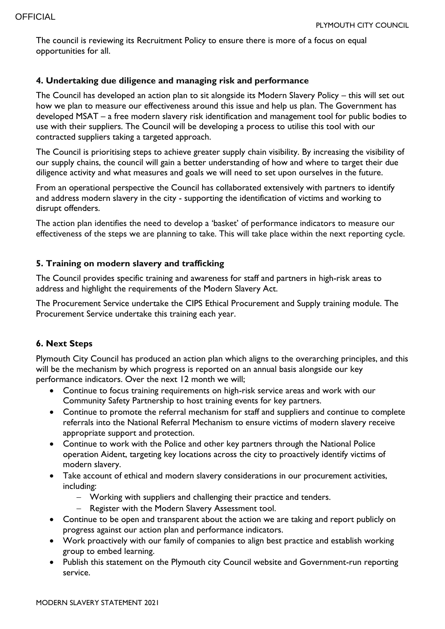The council is reviewing its Recruitment Policy to ensure there is more of a focus on equal opportunities for all.

# **4. Undertaking due diligence and managing risk and performance**

The Council has developed an action plan to sit alongside its Modern Slavery Policy – this will set out how we plan to measure our effectiveness around this issue and help us plan. The Government has developed MSAT – a free modern slavery risk identification and management tool for public bodies to use with their suppliers. The Council will be developing a process to utilise this tool with our contracted suppliers taking a targeted approach.

The Council is prioritising steps to achieve greater supply chain visibility. By increasing the visibility of our supply chains, the council will gain a better understanding of how and where to target their due diligence activity and what measures and goals we will need to set upon ourselves in the future.

From an operational perspective the Council has collaborated extensively with partners to identify and address modern slavery in the city - supporting the identification of victims and working to disrupt offenders.

The action plan identifies the need to develop a 'basket' of performance indicators to measure our effectiveness of the steps we are planning to take. This will take place within the next reporting cycle.

# **5. Training on modern slavery and trafficking**

The Council provides specific training and awareness for staff and partners in high-risk areas to address and highlight the requirements of the Modern Slavery Act.

The Procurement Service undertake the CIPS Ethical Procurement and Supply training module. The Procurement Service undertake this training each year.

# **6. Next Steps**

Plymouth City Council has produced an action plan which aligns to the overarching principles, and this will be the mechanism by which progress is reported on an annual basis alongside our key performance indicators. Over the next 12 month we will;

- Continue to focus training requirements on high-risk service areas and work with our Community Safety Partnership to host training events for key partners.
- Continue to promote the referral mechanism for staff and suppliers and continue to complete referrals into the National Referral Mechanism to ensure victims of modern slavery receive appropriate support and protection.
- Continue to work with the Police and other key partners through the National Police operation Aident, targeting key locations across the city to proactively identify victims of modern slavery.
- Take account of ethical and modern slavery considerations in our procurement activities, including:
	- Working with suppliers and challenging their practice and tenders.
	- Register with the Modern Slavery Assessment tool.
- Continue to be open and transparent about the action we are taking and report publicly on progress against our action plan and performance indicators.
- Work proactively with our family of companies to align best practice and establish working group to embed learning.
- Publish this statement on the Plymouth city Council website and Government-run reporting service.